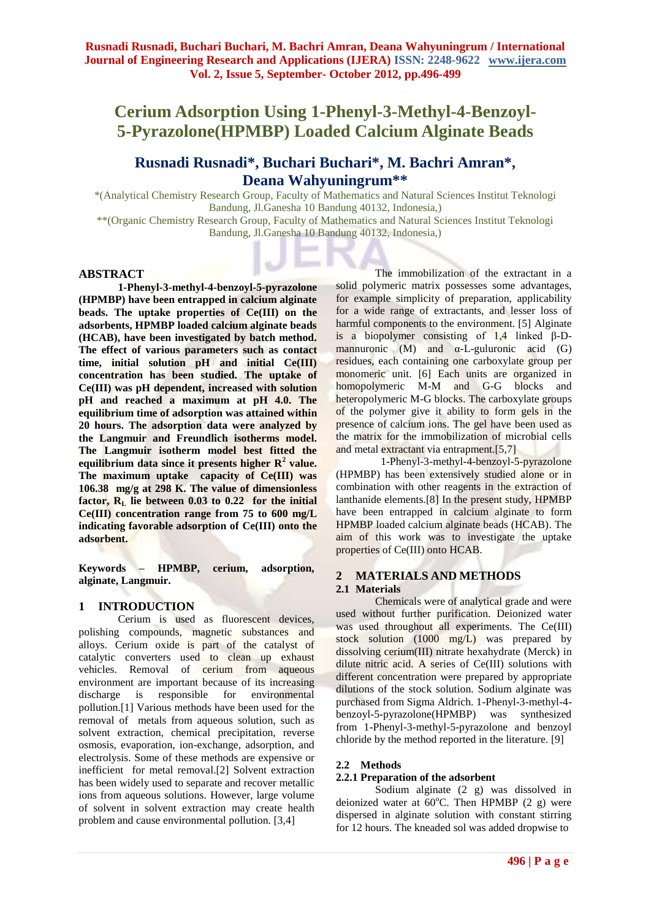# **Cerium Adsorption Using 1-Phenyl-3-Methyl-4-Benzoyl-5-Pyrazolone(HPMBP) Loaded Calcium Alginate Beads**

# **Rusnadi Rusnadi\*, Buchari Buchari\*, M. Bachri Amran\*, Deana Wahyuningrum\*\***

\*(Analytical Chemistry Research Group, Faculty of Mathematics and Natural Sciences Institut Teknologi Bandung, Jl.Ganesha 10 Bandung 40132, Indonesia,)

\*\*(Organic Chemistry Research Group, Faculty of Mathematics and Natural Sciences Institut Teknologi Bandung, Jl.Ganesha 10 Bandung 40132, Indonesia,)

### **ABSTRACT**

**1-Phenyl-3-methyl-4-benzoyl-5-pyrazolone (HPMBP) have been entrapped in calcium alginate beads. The uptake properties of Ce(III) on the adsorbents, HPMBP loaded calcium alginate beads (HCAB), have been investigated by batch method. The effect of various parameters such as contact time, initial solution pH and initial Ce(III) concentration has been studied. The uptake of Ce(III) was pH dependent, increased with solution pH and reached a maximum at pH 4.0. The equilibrium time of adsorption was attained within 20 hours. The adsorption data were analyzed by the Langmuir and Freundlich isotherms model. The Langmuir isotherm model best fitted the equilibrium data since it presents higher R<sup>2</sup> value. The maximum uptake capacity of Ce(III) was 106.38 mg/g at 298 K. The value of dimensionless factor, R<sup>L</sup> lie between 0.03 to 0.22 for the initial Ce(III) concentration range from 75 to 600 mg/L indicating favorable adsorption of Ce(III) onto the adsorbent.**

**Keywords – HPMBP, cerium, adsorption, alginate, Langmuir.** 

#### **1 INTRODUCTION**

Cerium is used as fluorescent devices, polishing compounds, magnetic substances and alloys. Cerium oxide is part of the catalyst of catalytic converters used to clean up exhaust vehicles. Removal of cerium from aqueous environment are important because of its increasing discharge is responsible for environmental pollution.[1] Various methods have been used for the removal of metals from aqueous solution, such as solvent extraction, chemical precipitation, reverse osmosis, evaporation, ion-exchange, adsorption, and electrolysis. Some of these methods are expensive or inefficient for metal removal.[2] Solvent extraction has been widely used to separate and recover metallic ions from aqueous solutions. However, large volume of solvent in solvent extraction may create health problem and cause environmental pollution. [3,4]

The immobilization of the extractant in a solid polymeric matrix possesses some advantages, for example simplicity of preparation, applicability for a wide range of extractants, and lesser loss of harmful components to the environment. [5] Alginate is a biopolymer consisting of  $1,4$  linked  $\beta$ -Dmannuronic (M) and  $\alpha$ -L-guluronic acid (G) residues, each containing one carboxylate group per monomeric unit. [6] Each units are organized in homopolymeric M-M and G-G blocks and heteropolymeric M-G blocks. The carboxylate groups of the polymer give it ability to form gels in the presence of calcium ions. The gel have been used as the matrix for the immobilization of microbial cells and metal extractant via entrapment.[5,7]

 1-Phenyl-3-methyl-4-benzoyl-5-pyrazolone (HPMBP) has been extensively studied alone or in combination with other reagents in the extraction of lanthanide elements.[8] In the present study, HPMBP have been entrapped in calcium alginate to form HPMBP loaded calcium alginate beads (HCAB). The aim of this work was to investigate the uptake properties of Ce(III) onto HCAB.

#### **2 MATERIALS AND METHODS 2.1 Materials**

Chemicals were of analytical grade and were used without further purification. Deionized water was used throughout all experiments. The Ce(III) stock solution (1000 mg/L) was prepared by dissolving cerium(III) nitrate hexahydrate (Merck) in dilute nitric acid. A series of Ce(III) solutions with different concentration were prepared by appropriate dilutions of the stock solution. Sodium alginate was purchased from Sigma Aldrich. 1-Phenyl-3-methyl-4 benzoyl-5-pyrazolone(HPMBP) was synthesized from 1-Phenyl-3-methyl-5-pyrazolone and benzoyl chloride by the method reported in the literature. [9]

#### **2.2 Methods**

#### **2.2.1 Preparation of the adsorbent**

Sodium alginate (2 g) was dissolved in deionized water at  $60^{\circ}$ C. Then HPMBP (2 g) were dispersed in alginate solution with constant stirring for 12 hours. The kneaded sol was added dropwise to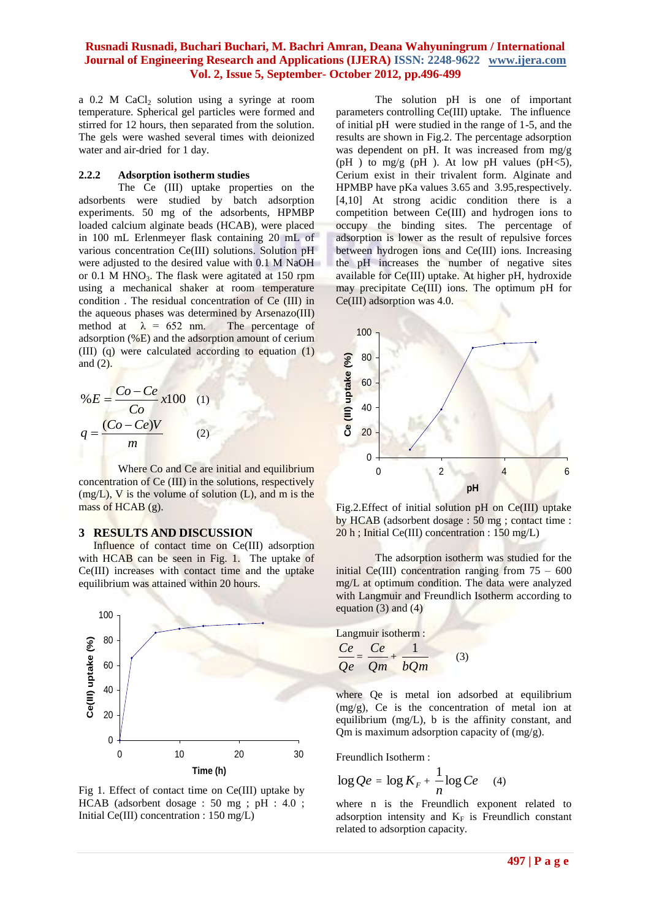# **Rusnadi Rusnadi, Buchari Buchari, M. Bachri Amran, Deana Wahyuningrum / International Journal of Engineering Research and Applications (IJERA) ISSN: 2248-9622 www.ijera.com Vol. 2, Issue 5, September- October 2012, pp.496-499**

a  $0.2$  M CaCl<sub>2</sub> solution using a syringe at room temperature. Spherical gel particles were formed and stirred for 12 hours, then separated from the solution. The gels were washed several times with deionized water and air-dried for 1 day.

#### **2.2.2 Adsorption isotherm studies**

The Ce (III) uptake properties on the adsorbents were studied by batch adsorption experiments. 50 mg of the adsorbents, HPMBP loaded calcium alginate beads (HCAB), were placed in 100 mL Erlenmeyer flask containing 20 mL of various concentration Ce(III) solutions. Solution pH were adjusted to the desired value with 0.1 M NaOH or  $0.1$  M HNO<sub>3</sub>. The flask were agitated at 150 rpm using a mechanical shaker at room temperature condition . The residual concentration of Ce (III) in the aqueous phases was determined by Arsenazo(III)<br>method at  $\lambda = 652$  nm. The percentage of method at  $\lambda = 652$  nm. adsorption  $(\%E)$  and the adsorption amount of cerium (III) (q) were calculated according to equation (1) and (2).

$$
\%E = \frac{Co - Ce}{Co} \times 100 \quad (1)
$$

$$
q = \frac{(Co - Ce)V}{m} \quad (2)
$$

Where Co and Ce are initial and equilibrium concentration of Ce (III) in the solutions, respectively  $(mg/L)$ , V is the volume of solution  $(L)$ , and m is the mass of HCAB (g).

#### **3 RESULTS AND DISCUSSION**

Influence of contact time on Ce(III) adsorption with HCAB can be seen in Fig. 1. The uptake of Ce(III) increases with contact time and the uptake equilibrium was attained within 20 hours.



Fig 1. Effect of contact time on Ce(III) uptake by HCAB (adsorbent dosage : 50 mg ; pH : 4.0 ; Initial Ce(III) concentration : 150 mg/L)

The solution pH is one of important parameters controlling Ce(III) uptake. The influence of initial pH were studied in the range of 1-5, and the results are shown in Fig.2. The percentage adsorption was dependent on pH. It was increased from mg/g (pH) to mg/g (pH). At low pH values (pH $\leq$ 5), Cerium exist in their trivalent form. Alginate and HPMBP have pKa values 3.65 and 3.95,respectively. [4,10] At strong acidic condition there is a competition between Ce(III) and hydrogen ions to occupy the binding sites. The percentage of adsorption is lower as the result of repulsive forces between hydrogen ions and Ce(III) ions. Increasing the pH increases the number of negative sites available for Ce(III) uptake. At higher pH, hydroxide may precipitate Ce(III) ions. The optimum pH for Ce(III) adsorption was 4.0.



Fig.2.Effect of initial solution pH on Ce(III) uptake by HCAB (adsorbent dosage : 50 mg ; contact time : 20 h ; Initial Ce(III) concentration : 150 mg/L)

The adsorption isotherm was studied for the initial  $Ce(III)$  concentration ranging from  $75 - 600$ mg/L at optimum condition. The data were analyzed with Langmuir and Freundlich Isotherm according to equation (3) and (4)

Langmuir isotherm :  
\n
$$
\frac{Ce}{Ce} = \frac{Ce}{Qm} + \frac{1}{bQm}
$$
\n(3)

where Qe is metal ion adsorbed at equilibrium (mg/g), Ce is the concentration of metal ion at equilibrium (mg/L), b is the affinity constant, and Qm is maximum adsorption capacity of (mg/g).

Freundlich Isotherm :

$$
\log Qe = \log K_F + \frac{1}{n} \log Ce \quad (4)
$$

where n is the Freundlich exponent related to adsorption intensity and  $K_F$  is Freundlich constant related to adsorption capacity.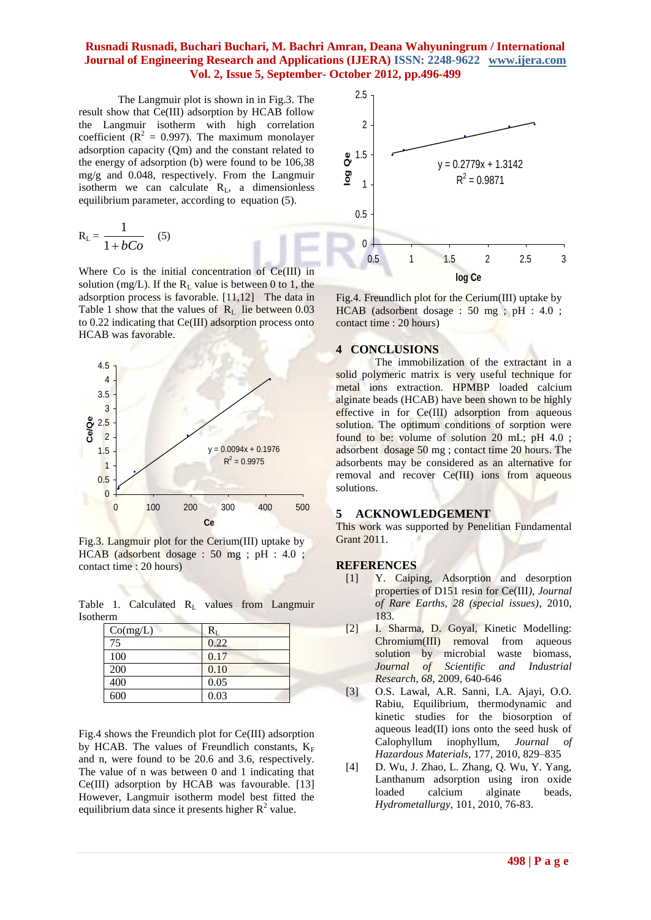# **Rusnadi Rusnadi, Buchari Buchari, M. Bachri Amran, Deana Wahyuningrum / International Journal of Engineering Research and Applications (IJERA) ISSN: 2248-9622 www.ijera.com Vol. 2, Issue 5, September- October 2012, pp.496-499**

The Langmuir plot is shown in in Fig.3. The result show that Ce(III) adsorption by HCAB follow the Langmuir isotherm with high correlation coefficient ( $R^2 = 0.997$ ). The maximum monolayer adsorption capacity (Qm) and the constant related to the energy of adsorption (b) were found to be 106,38 mg/g and 0.048, respectively. From the Langmuir isotherm we can calculate  $R_L$ , a dimensionless equilibrium parameter, according to equation (5).

$$
R_{L} = \frac{1}{1 + bCo} \quad (5)
$$

Where Co is the initial concentration of Ce(III) in solution (mg/L). If the  $R_L$  value is between 0 to 1, the adsorption process is favorable. [11,12] The data in Table 1 show that the values of  $R<sub>L</sub>$  lie between 0.03 to 0.22 indicating that Ce(III) adsorption process onto HCAB was favorable.



Fig.3. Langmuir plot for the Cerium(III) uptake by HCAB (adsorbent dosage : 50 mg ; pH : 4.0 ; contact time : 20 hours)

Table 1. Calculated R<sub>L</sub> values from Langmuir Isotherm

| Co(mg/L) |      |
|----------|------|
| 75       | 0.22 |
| 100      | 0.17 |
| 200      | 0.10 |
| 400      | 0.05 |
| 600      | 0.03 |

Fig.4 shows the Freundich plot for Ce(III) adsorption by HCAB. The values of Freundlich constants,  $K_F$ and n, were found to be 20.6 and 3.6, respectively. The value of n was between 0 and 1 indicating that Ce(III) adsorption by HCAB was favourable. [13] However, Langmuir isotherm model best fitted the equilibrium data since it presents higher  $R^2$  value.



Fig.4. Freundlich plot for the Cerium(III) uptake by HCAB (adsorbent dosage : 50 mg ; pH : 4.0 ; contact time : 20 hours)

#### **4 CONCLUSIONS**

The immobilization of the extractant in a solid polymeric matrix is very useful technique for metal ions extraction. HPMBP loaded calcium alginate beads (HCAB) have been shown to be highly effective in for Ce(III) adsorption from aqueous solution. The optimum conditions of sorption were found to be: volume of solution 20 mL; pH 4.0 ; adsorbent dosage 50 mg ; contact time 20 hours. The adsorbents may be considered as an alternative for removal and recover Ce(III) ions from aqueous solutions.

#### **5 ACKNOWLEDGEMENT**

This work was supported by Penelitian Fundamental Grant 2011.

#### **REFERENCES**

- [1] Y. Caiping, Adsorption and desorption properties of D151 resin for Ce(III*), Journal of Rare Earths, 28 (special issues)*, 2010, 183.
- [2] I. Sharma, D. Goyal, Kinetic Modelling: Chromium(III) removal from aqueous solution by microbial waste biomass, *Journal of Scientific and Industrial Research, 68,* 2009, 640-646
- [3] O.S. Lawal, A.R. Sanni, I.A. Ajayi, O.O. Rabiu, Equilibrium, thermodynamic and kinetic studies for the biosorption of aqueous lead(II) ions onto the seed husk of Calophyllum inophyllum, *Journal of Hazardous Materials*, 177, 2010, 829–835
- [4] D. Wu, J. Zhao, L. Zhang, Q. Wu, Y. Yang, Lanthanum adsorption using iron oxide loaded calcium alginate beads, *Hydrometallurgy*, 101, 2010, 76-83.